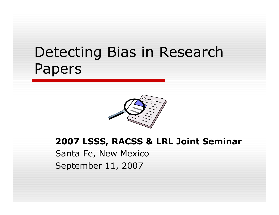# Detecting Bias in Research Papers



#### **2007 LSSS, RACSS & LRL Joint Seminar**

Santa Fe, New Mexico September 11, 2007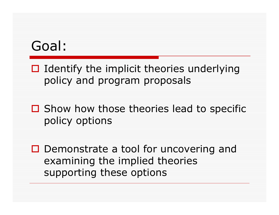#### Goal:

- $\Box$  Identify the implicit theories underlying policy and program proposals
- $\Box$  Show how those theories lead to specific policy options
- □ Demonstrate a tool for uncovering and examining the implied theories supporting these options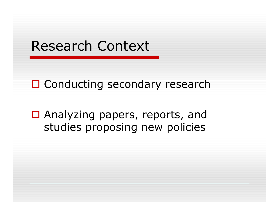## Research Context

□ Conducting secondary research

□ Analyzing papers, reports, and studies proposing new policies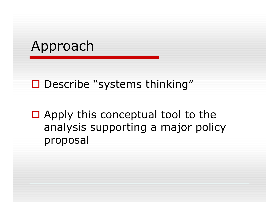# Approach

#### □ Describe "systems thinking"

 $\Box$  Apply this conceptual tool to the analysis supporting a major policy proposal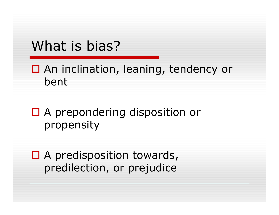# What is bias?

□ An inclination, leaning, tendency or bent

□ A prepondering disposition or propensity

□ A predisposition towards, predilection, or prejudice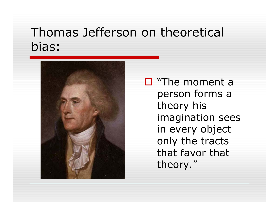#### Thomas Jefferson on theoretical bias:



□ "The moment a person forms a theory his imagination sees in every object only the tracts that favor that theory."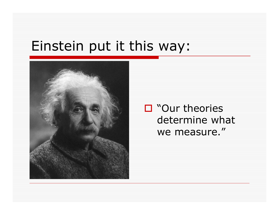## Einstein put it this way:



□ "Our theories determine what we measure."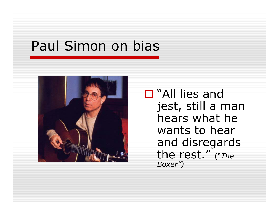# Paul Simon on bias



□ "All lies and jest, still a man hears what he wants to hear and disregards the rest." ("*The Boxer")*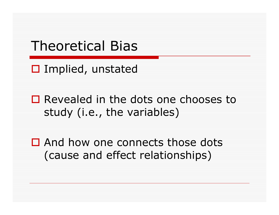## Theoretical Bias

□ Implied, unstated

□ Revealed in the dots one chooses to study (i.e., the variables)

□ And how one connects those dots (cause and effect relationships)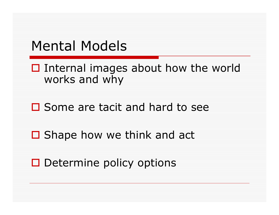#### Mental Models

 $\square$  Internal images about how the world works and why

#### $\square$  Some are tacit and hard to see

□ Shape how we think and act

 $\square$  Determine policy options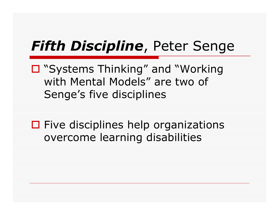# *Fifth Discipline*, Peter Senge

□ "Systems Thinking" and "Working with Mental Models" are two of Senge's five disciplines

 $\square$  Five disciplines help organizations overcome learning disabilities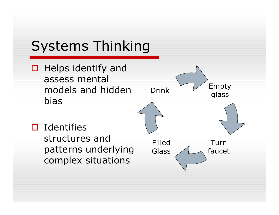# Systems Thinking

 $\Box$  Helps identify and assess mental models and hidden bias

structures and

 $\square$  Identifies

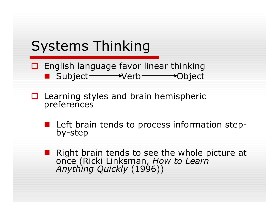# Systems Thinking

**O** English language favor linear thinking ■ Subject →Verb →Object

**□** Learning styles and brain hemispheric preferences

■ Left brain tends to process information step-<br>by-step

Right brain tends to see the whole picture at once (Ricki Linksman, *How to Learn Anything Quickly* (1996))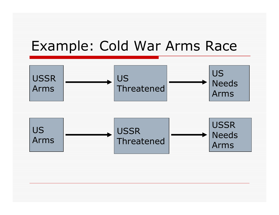## Example: Cold War Arms Race



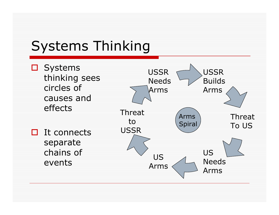# Systems Thinking

□ Systems thinking sees circles of causes and effects

 $\Box$  It connects separate chains of events

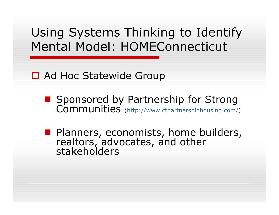## Using Systems Thinking to Identify Mental Model: HOMEConnecticut

#### □ Ad Hoc Statewide Group

■ Sponsored by Partnership for Strong Communities (http://www.ctpartnershiphousing.com/)

**Planners, economists, home builders,** realtors, advocates, and other stakeholders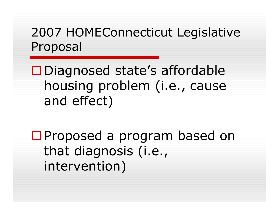## 2007 HOMEConnecticut Legislative Proposal

Diagnosed state's affordable housing problem (i.e., cause and effect)

□Proposed a program based on that diagnosis (i.e., intervention)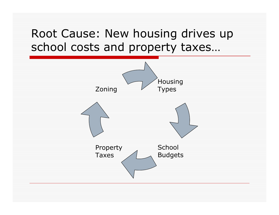#### Root Cause: New housing drives up school costs and property taxes…

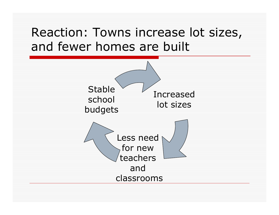#### Reaction: Towns increase lot sizes, and fewer homes are built

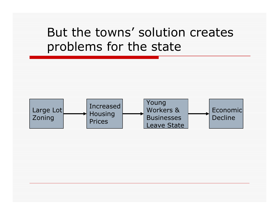#### But the towns' solution creates problems for the state

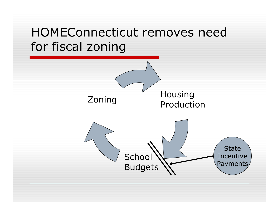## HOMEConnecticut removes need for fiscal zoning

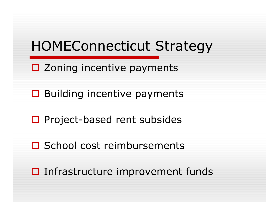# HOMEConnecticut Strategy

- □ Zoning incentive payments
- **□** Building incentive payments
- □ Project-based rent subsides
- **□** School cost reimbursements
- $\square$  Infrastructure improvement funds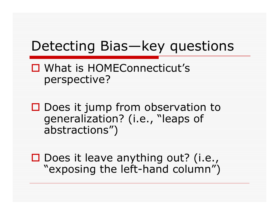# Detecting Bias—key questions

#### What is HOMEConnecticut's perspective?

 $\square$  Does it jump from observation to generalization? (i.e., "leaps of abstractions")

 $\square$  Does it leave anything out? (i.e., "exposing the left-hand column")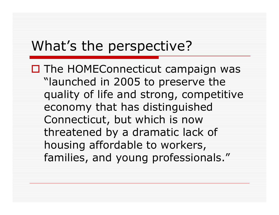## What's the perspective?

□ The HOMEConnecticut campaign was "launched in 2005 to preserve the quality of life and strong, competitive economy that has distinguished Connecticut, but which is now threatened by a dramatic lack of housing affordable to workers, families, and young professionals."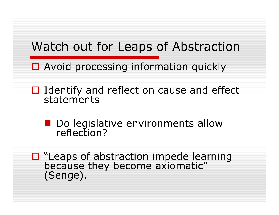#### Watch out for Leaps of Abstraction

- □ Avoid processing information quickly
- $\Box$  Identify and reflect on cause and effect statements
	- Do legislative environments allow<br>| reflection?
- □ "Leaps of abstraction impede learning<br>because they become axiomatic" (Senge).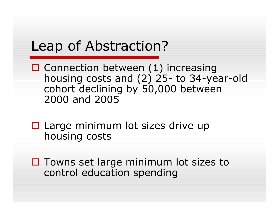# Leap of Abstraction?

- $\Box$  Connection between (1) increasing housing costs and (2) 25- to 34-year-old cohort declining by 50,000 between 2000 and 2005
- $\square$  Large minimum lot sizes drive up housing costs
- $\Box$  Towns set large minimum lot sizes to control education spending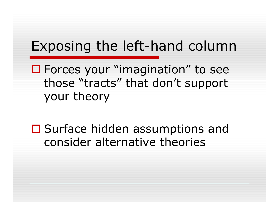## Exposing the left-hand column

■ Forces your "imagination" to see those "tracts" that don't support your theory

□ Surface hidden assumptions and consider alternative theories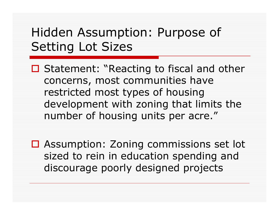### Hidden Assumption: Purpose of Setting Lot Sizes

- □ Statement: "Reacting to fiscal and other concerns, most communities have restricted most types of housing development with zoning that limits the number of housing units per acre."
- **□ Assumption: Zoning commissions set lot** sized to rein in education spending and discourage poorly designed projects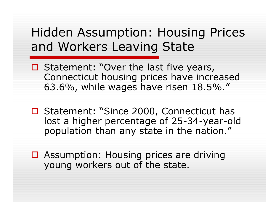### Hidden Assumption: Housing Prices and Workers Leaving State

- $\Box$  Statement: "Over the last five years, Connecticut housing prices have increased 63.6%, while wages have risen 18.5%."
- □ Statement: "Since 2000, Connecticut has lost a higher percentage of 25-34-year-old population than any state in the nation."
- □ Assumption: Housing prices are driving young workers out of the state.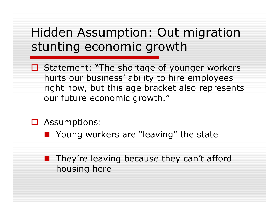## Hidden Assumption: Out migration stunting economic growth

- $\Box$  Statement: "The shortage of younger workers hurts our business' ability to hire employees right now, but this age bracket also represents our future economic growth."
- □ Assumptions:
	- Young workers are "leaving" the state
	- They're leaving because they can't afford housing here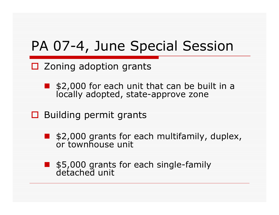# PA 07-4, June Special Session

- □ Zoning adoption grants
	- \$2,000 for each unit that can be built in a locally adopted, state-approve zone
- $\square$  Building permit grants
	- an<br>M \$2,000 grants for each multifamily, duplex, or townhouse unit
	- \$5,000 grants for each single-family detached unit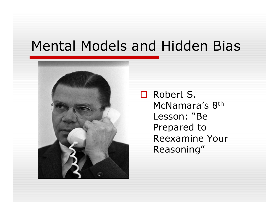# Mental Models and Hidden Bias



 Robert S. McNamara's 8<sup>th</sup> Lesson: "Be Prepared to Reexamine Your Reasoning"